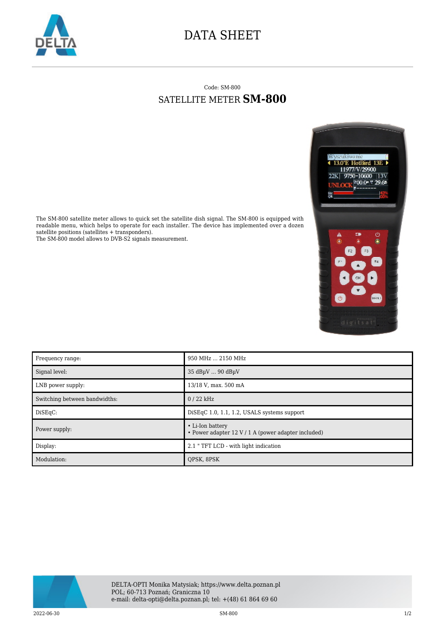

## DATA SHEET

## Code: SM-800 SATELLITE METER **SM-800**



The SM-800 satellite meter allows to quick set the satellite dish signal. The SM-800 is equipped with readable menu, which helps to operate for each installer. The device has implemented over a dozen satellite positions (satellites + transponders).

The SM-800 model allows to DVB-S2 signals measurement.

| Frequency range:              | 950 MHz  2150 MHz                                                       |
|-------------------------------|-------------------------------------------------------------------------|
| Signal level:                 | 35 dBuV  90 dBuV                                                        |
| LNB power supply:             | 13/18 V, max. 500 mA                                                    |
| Switching between bandwidths: | $0/22$ kHz                                                              |
| DisEqC:                       | $DisEqC 1.0, 1.1, 1.2, USALS$ systems support                           |
| Power supply:                 | • Li-Ion battery<br>• Power adapter 12 V / 1 A (power adapter included) |
| Display:                      | 2.1 " TFT LCD - with light indication                                   |
| Modulation:                   | OPSK, 8PSK                                                              |